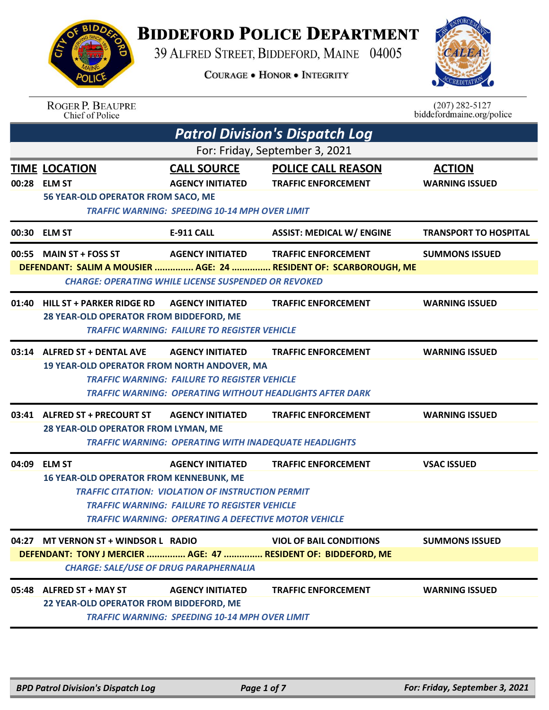## **BIDDEFORD POLICE DEPARTMENT**

39 ALFRED STREET, BIDDEFORD, MAINE 04005

**COURAGE . HONOR . INTEGRITY** 



| <b>BIDDA</b><br>œ |  |
|-------------------|--|
| NG SIN            |  |
|                   |  |
| POLICE            |  |

 $(207)$  282-5127 biddefordmaine.org/police

| <b>Patrol Division's Dispatch Log</b>                                                                                                                   |                                                                                                                                                                                                    |                                                                                                 |                                        |  |  |
|---------------------------------------------------------------------------------------------------------------------------------------------------------|----------------------------------------------------------------------------------------------------------------------------------------------------------------------------------------------------|-------------------------------------------------------------------------------------------------|----------------------------------------|--|--|
| For: Friday, September 3, 2021                                                                                                                          |                                                                                                                                                                                                    |                                                                                                 |                                        |  |  |
| <b>TIME LOCATION</b><br>00:28 ELM ST<br>56 YEAR-OLD OPERATOR FROM SACO, ME                                                                              | <b>CALL SOURCE</b><br><b>AGENCY INITIATED</b><br><b>TRAFFIC WARNING: SPEEDING 10-14 MPH OVER LIMIT</b>                                                                                             | <b>POLICE CALL REASON</b><br><b>TRAFFIC ENFORCEMENT</b>                                         | <b>ACTION</b><br><b>WARNING ISSUED</b> |  |  |
| 00:30 ELM ST                                                                                                                                            | <b>E-911 CALL</b>                                                                                                                                                                                  | <b>ASSIST: MEDICAL W/ ENGINE</b>                                                                | <b>TRANSPORT TO HOSPITAL</b>           |  |  |
| 00:55 MAIN ST + FOSS ST                                                                                                                                 | <b>AGENCY INITIATED</b><br><b>CHARGE: OPERATING WHILE LICENSE SUSPENDED OR REVOKED</b>                                                                                                             | <b>TRAFFIC ENFORCEMENT</b><br>DEFENDANT: SALIM A MOUSIER  AGE: 24  RESIDENT OF: SCARBOROUGH, ME | <b>SUMMONS ISSUED</b>                  |  |  |
| 01:40 HILL ST + PARKER RIDGE RD<br>28 YEAR-OLD OPERATOR FROM BIDDEFORD, ME                                                                              | <b>AGENCY INITIATED</b><br><b>TRAFFIC WARNING: FAILURE TO REGISTER VEHICLE</b>                                                                                                                     | <b>TRAFFIC ENFORCEMENT</b>                                                                      | <b>WARNING ISSUED</b>                  |  |  |
| 03:14 ALFRED ST + DENTAL AVE<br><b>19 YEAR-OLD OPERATOR FROM NORTH ANDOVER, MA</b>                                                                      | <b>AGENCY INITIATED</b><br><b>TRAFFIC WARNING: FAILURE TO REGISTER VEHICLE</b>                                                                                                                     | <b>TRAFFIC ENFORCEMENT</b><br><b>TRAFFIC WARNING: OPERATING WITHOUT HEADLIGHTS AFTER DARK</b>   | <b>WARNING ISSUED</b>                  |  |  |
| 03:41 ALFRED ST + PRECOURT ST<br>28 YEAR-OLD OPERATOR FROM LYMAN, ME                                                                                    | <b>AGENCY INITIATED</b><br><b>TRAFFIC WARNING: OPERATING WITH INADEQUATE HEADLIGHTS</b>                                                                                                            | <b>TRAFFIC ENFORCEMENT</b>                                                                      | <b>WARNING ISSUED</b>                  |  |  |
| 04:09 ELM ST<br><b>16 YEAR-OLD OPERATOR FROM KENNEBUNK, ME</b>                                                                                          | <b>AGENCY INITIATED</b><br><b>TRAFFIC CITATION: VIOLATION OF INSTRUCTION PERMIT</b><br>TRAFFIC WARNING: FAILURE TO REGISTER VEHICLE<br><b>TRAFFIC WARNING: OPERATING A DEFECTIVE MOTOR VEHICLE</b> | <b>TRAFFIC ENFORCEMENT</b>                                                                      | <b>VSAC ISSUED</b>                     |  |  |
| 04:27 MT VERNON ST + WINDSOR L RADIO<br>DEFENDANT: TONY J MERCIER  AGE: 47  RESIDENT OF: BIDDEFORD, ME<br><b>CHARGE: SALE/USE OF DRUG PARAPHERNALIA</b> |                                                                                                                                                                                                    | <b>VIOL OF BAIL CONDITIONS</b>                                                                  | <b>SUMMONS ISSUED</b>                  |  |  |
| 05:48 ALFRED ST + MAY ST<br>22 YEAR-OLD OPERATOR FROM BIDDEFORD, ME                                                                                     | <b>AGENCY INITIATED</b><br><b>TRAFFIC WARNING: SPEEDING 10-14 MPH OVER LIMIT</b>                                                                                                                   | <b>TRAFFIC ENFORCEMENT</b>                                                                      | <b>WARNING ISSUED</b>                  |  |  |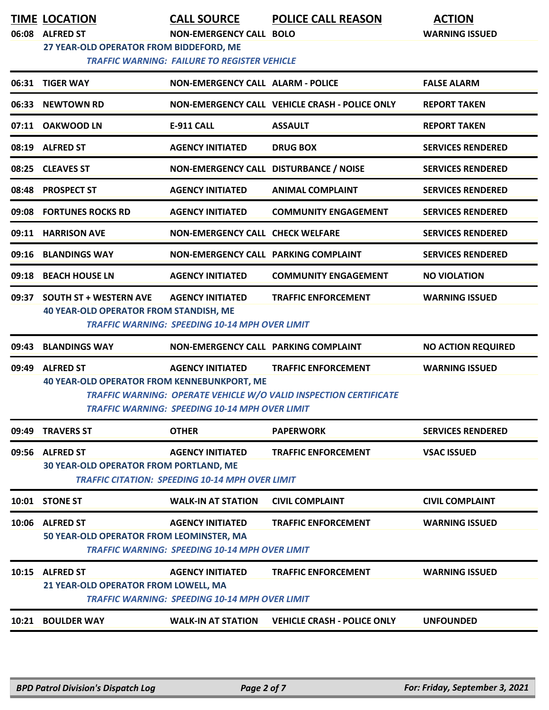| TIME LOCATION |
|---------------|
|               |

**CALL SOURCE POLICE CALL REASON ACTION** 

**06:08 ALFRED ST NON-EMERGENCY CALL BOLO WARNING ISSUED**

|  | 27 YEAR-OLD OPERATOR FROM BIDDEFORD, ME |  |  |
|--|-----------------------------------------|--|--|
|  |                                         |  |  |

 *TRAFFIC WARNING: FAILURE TO REGISTER VEHICLE* 

|       | 06:31 TIGER WAY                                                                | <b>NON-EMERGENCY CALL ALARM - POLICE</b>                                          |                                                                                                 | <b>FALSE ALARM</b>        |
|-------|--------------------------------------------------------------------------------|-----------------------------------------------------------------------------------|-------------------------------------------------------------------------------------------------|---------------------------|
|       | 06:33 NEWTOWN RD                                                               |                                                                                   | NON-EMERGENCY CALL VEHICLE CRASH - POLICE ONLY                                                  | <b>REPORT TAKEN</b>       |
|       | 07:11 OAKWOOD LN                                                               | <b>E-911 CALL</b>                                                                 | <b>ASSAULT</b>                                                                                  | <b>REPORT TAKEN</b>       |
|       | 08:19 ALFRED ST                                                                | <b>AGENCY INITIATED</b>                                                           | <b>DRUG BOX</b>                                                                                 | <b>SERVICES RENDERED</b>  |
|       | 08:25 CLEAVES ST                                                               | NON-EMERGENCY CALL DISTURBANCE / NOISE                                            |                                                                                                 | <b>SERVICES RENDERED</b>  |
|       | 08:48 PROSPECT ST                                                              | <b>AGENCY INITIATED</b>                                                           | <b>ANIMAL COMPLAINT</b>                                                                         | <b>SERVICES RENDERED</b>  |
|       | 09:08 FORTUNES ROCKS RD                                                        | <b>AGENCY INITIATED</b>                                                           | <b>COMMUNITY ENGAGEMENT</b>                                                                     | <b>SERVICES RENDERED</b>  |
|       | 09:11 HARRISON AVE                                                             | <b>NON-EMERGENCY CALL CHECK WELFARE</b>                                           |                                                                                                 | <b>SERVICES RENDERED</b>  |
|       | 09:16 BLANDINGS WAY                                                            | NON-EMERGENCY CALL PARKING COMPLAINT                                              |                                                                                                 | <b>SERVICES RENDERED</b>  |
|       | 09:18 BEACH HOUSE LN                                                           | <b>AGENCY INITIATED</b>                                                           | <b>COMMUNITY ENGAGEMENT</b>                                                                     | <b>NO VIOLATION</b>       |
| 09:37 | <b>SOUTH ST + WESTERN AVE</b><br><b>40 YEAR-OLD OPERATOR FROM STANDISH, ME</b> | <b>AGENCY INITIATED</b><br><b>TRAFFIC WARNING: SPEEDING 10-14 MPH OVER LIMIT</b>  | <b>TRAFFIC ENFORCEMENT</b>                                                                      | <b>WARNING ISSUED</b>     |
| 09:43 | <b>BLANDINGS WAY</b>                                                           | NON-EMERGENCY CALL PARKING COMPLAINT                                              |                                                                                                 | <b>NO ACTION REQUIRED</b> |
| 09:49 | <b>ALFRED ST</b><br><b>40 YEAR-OLD OPERATOR FROM KENNEBUNKPORT, ME</b>         | <b>AGENCY INITIATED</b><br><b>TRAFFIC WARNING: SPEEDING 10-14 MPH OVER LIMIT</b>  | <b>TRAFFIC ENFORCEMENT</b><br>TRAFFIC WARNING: OPERATE VEHICLE W/O VALID INSPECTION CERTIFICATE | <b>WARNING ISSUED</b>     |
|       | 09:49 TRAVERS ST                                                               | <b>OTHER</b>                                                                      | <b>PAPERWORK</b>                                                                                | <b>SERVICES RENDERED</b>  |
|       | 09:56 ALFRED ST<br><b>30 YEAR-OLD OPERATOR FROM PORTLAND, ME</b>               | <b>AGENCY INITIATED</b><br><b>TRAFFIC CITATION: SPEEDING 10-14 MPH OVER LIMIT</b> | <b>TRAFFIC ENFORCEMENT</b>                                                                      | <b>VSAC ISSUED</b>        |
|       | 10:01 STONE ST                                                                 | <b>WALK-IN AT STATION</b>                                                         | <b>CIVIL COMPLAINT</b>                                                                          | <b>CIVIL COMPLAINT</b>    |
|       | 10:06 ALFRED ST<br>50 YEAR-OLD OPERATOR FROM LEOMINSTER, MA                    | <b>AGENCY INITIATED</b><br><b>TRAFFIC WARNING: SPEEDING 10-14 MPH OVER LIMIT</b>  | <b>TRAFFIC ENFORCEMENT</b>                                                                      | <b>WARNING ISSUED</b>     |
|       | 10:15 ALFRED ST<br>21 YEAR-OLD OPERATOR FROM LOWELL, MA                        | <b>AGENCY INITIATED</b><br><b>TRAFFIC WARNING: SPEEDING 10-14 MPH OVER LIMIT</b>  | <b>TRAFFIC ENFORCEMENT</b>                                                                      | <b>WARNING ISSUED</b>     |
|       | 10:21 BOULDER WAY                                                              | <b>WALK-IN AT STATION</b>                                                         | <b>VEHICLE CRASH - POLICE ONLY</b>                                                              | <b>UNFOUNDED</b>          |
|       |                                                                                |                                                                                   |                                                                                                 |                           |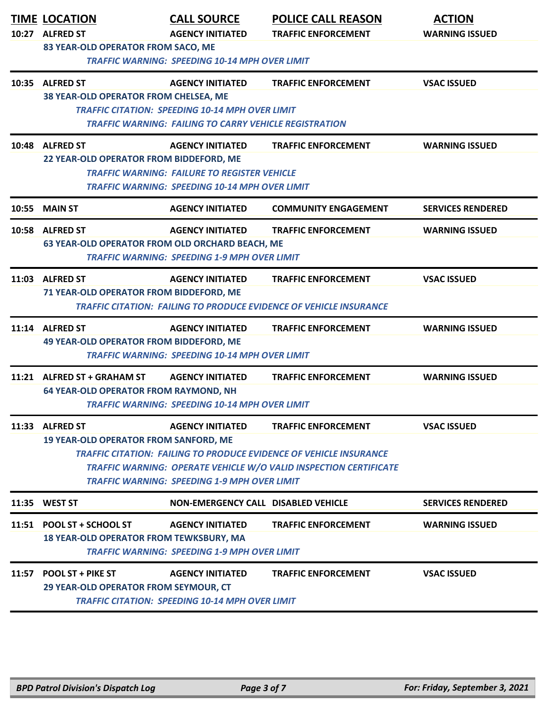| <b>TIME LOCATION</b><br>10:27 ALFRED ST<br>83 YEAR-OLD OPERATOR FROM SACO, ME | <b>CALL SOURCE</b><br><b>AGENCY INITIATED</b><br><b>TRAFFIC WARNING: SPEEDING 10-14 MPH OVER LIMIT</b>                                             | <b>POLICE CALL REASON</b><br><b>TRAFFIC ENFORCEMENT</b>                                                                                                                             | <b>ACTION</b><br><b>WARNING ISSUED</b> |
|-------------------------------------------------------------------------------|----------------------------------------------------------------------------------------------------------------------------------------------------|-------------------------------------------------------------------------------------------------------------------------------------------------------------------------------------|----------------------------------------|
| 10:35 ALFRED ST<br>38 YEAR-OLD OPERATOR FROM CHELSEA, ME                      | <b>AGENCY INITIATED</b><br><b>TRAFFIC CITATION: SPEEDING 10-14 MPH OVER LIMIT</b><br><b>TRAFFIC WARNING: FAILING TO CARRY VEHICLE REGISTRATION</b> | <b>TRAFFIC ENFORCEMENT</b>                                                                                                                                                          | <b>VSAC ISSUED</b>                     |
| 10:48 ALFRED ST<br>22 YEAR-OLD OPERATOR FROM BIDDEFORD, ME                    | <b>AGENCY INITIATED</b><br><b>TRAFFIC WARNING: FAILURE TO REGISTER VEHICLE</b><br><b>TRAFFIC WARNING: SPEEDING 10-14 MPH OVER LIMIT</b>            | <b>TRAFFIC ENFORCEMENT</b>                                                                                                                                                          | <b>WARNING ISSUED</b>                  |
| <b>10:55 MAIN ST</b>                                                          | <b>AGENCY INITIATED</b>                                                                                                                            | <b>COMMUNITY ENGAGEMENT</b>                                                                                                                                                         | <b>SERVICES RENDERED</b>               |
| 10:58 ALFRED ST<br>63 YEAR-OLD OPERATOR FROM OLD ORCHARD BEACH, ME            | <b>AGENCY INITIATED</b><br><b>TRAFFIC WARNING: SPEEDING 1-9 MPH OVER LIMIT</b>                                                                     | <b>TRAFFIC ENFORCEMENT</b>                                                                                                                                                          | <b>WARNING ISSUED</b>                  |
| 11:03 ALFRED ST<br>71 YEAR-OLD OPERATOR FROM BIDDEFORD, ME                    | <b>AGENCY INITIATED</b>                                                                                                                            | <b>TRAFFIC ENFORCEMENT</b><br><b>TRAFFIC CITATION: FAILING TO PRODUCE EVIDENCE OF VEHICLE INSURANCE</b>                                                                             | <b>VSAC ISSUED</b>                     |
| 11:14 ALFRED ST<br>49 YEAR-OLD OPERATOR FROM BIDDEFORD, ME                    | <b>AGENCY INITIATED</b><br><b>TRAFFIC WARNING: SPEEDING 10-14 MPH OVER LIMIT</b>                                                                   | <b>TRAFFIC ENFORCEMENT</b>                                                                                                                                                          | <b>WARNING ISSUED</b>                  |
| 11:21 ALFRED ST + GRAHAM ST<br><b>64 YEAR-OLD OPERATOR FROM RAYMOND, NH</b>   | <b>AGENCY INITIATED</b><br><b>TRAFFIC WARNING: SPEEDING 10-14 MPH OVER LIMIT</b>                                                                   | <b>TRAFFIC ENFORCEMENT</b>                                                                                                                                                          | <b>WARNING ISSUED</b>                  |
| 11:33 ALFRED ST<br>19 YEAR-OLD OPERATOR FROM SANFORD, ME                      | <b>AGENCY INITIATED</b><br><b>TRAFFIC WARNING: SPEEDING 1-9 MPH OVER LIMIT</b>                                                                     | <b>TRAFFIC ENFORCEMENT</b><br><b>TRAFFIC CITATION: FAILING TO PRODUCE EVIDENCE OF VEHICLE INSURANCE</b><br><b>TRAFFIC WARNING: OPERATE VEHICLE W/O VALID INSPECTION CERTIFICATE</b> | <b>VSAC ISSUED</b>                     |
| 11:35 WEST ST                                                                 | <b>NON-EMERGENCY CALL DISABLED VEHICLE</b>                                                                                                         |                                                                                                                                                                                     | <b>SERVICES RENDERED</b>               |
| 11:51 POOL ST + SCHOOL ST<br><b>18 YEAR-OLD OPERATOR FROM TEWKSBURY, MA</b>   | <b>AGENCY INITIATED</b><br><b>TRAFFIC WARNING: SPEEDING 1-9 MPH OVER LIMIT</b>                                                                     | <b>TRAFFIC ENFORCEMENT</b>                                                                                                                                                          | <b>WARNING ISSUED</b>                  |
| 11:57 POOL ST + PIKE ST<br>29 YEAR-OLD OPERATOR FROM SEYMOUR, CT              | <b>AGENCY INITIATED</b><br><b>TRAFFIC CITATION: SPEEDING 10-14 MPH OVER LIMIT</b>                                                                  | <b>TRAFFIC ENFORCEMENT</b>                                                                                                                                                          | <b>VSAC ISSUED</b>                     |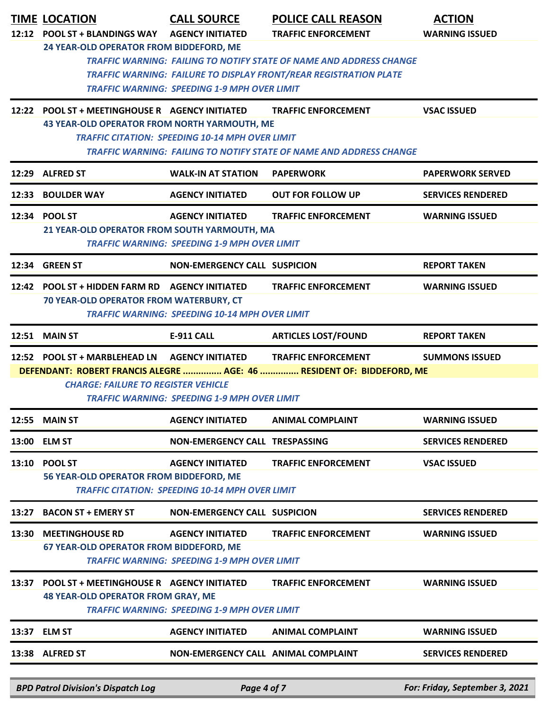|       | <b>TIME LOCATION</b>                                                                       | <b>CALL SOURCE</b>                                                                | <b>POLICE CALL REASON</b>                                                                                                                              | <b>ACTION</b>                  |
|-------|--------------------------------------------------------------------------------------------|-----------------------------------------------------------------------------------|--------------------------------------------------------------------------------------------------------------------------------------------------------|--------------------------------|
|       | 12:12 POOL ST + BLANDINGS WAY<br>24 YEAR-OLD OPERATOR FROM BIDDEFORD, ME                   | <b>AGENCY INITIATED</b>                                                           | <b>TRAFFIC ENFORCEMENT</b>                                                                                                                             | <b>WARNING ISSUED</b>          |
|       |                                                                                            | <b>TRAFFIC WARNING: SPEEDING 1-9 MPH OVER LIMIT</b>                               | <b>TRAFFIC WARNING: FAILING TO NOTIFY STATE OF NAME AND ADDRESS CHANGE</b><br><b>TRAFFIC WARNING: FAILURE TO DISPLAY FRONT/REAR REGISTRATION PLATE</b> |                                |
|       | 12:22 POOL ST + MEETINGHOUSE R AGENCY INITIATED                                            |                                                                                   | <b>TRAFFIC ENFORCEMENT</b>                                                                                                                             | <b>VSAC ISSUED</b>             |
|       | <b>43 YEAR-OLD OPERATOR FROM NORTH YARMOUTH, ME</b>                                        | <b>TRAFFIC CITATION: SPEEDING 10-14 MPH OVER LIMIT</b>                            | <b>TRAFFIC WARNING: FAILING TO NOTIFY STATE OF NAME AND ADDRESS CHANGE</b>                                                                             |                                |
| 12:29 | <b>ALFRED ST</b>                                                                           | <b>WALK-IN AT STATION</b>                                                         | <b>PAPERWORK</b>                                                                                                                                       | <b>PAPERWORK SERVED</b>        |
| 12:33 | <b>BOULDER WAY</b>                                                                         | <b>AGENCY INITIATED</b>                                                           | <b>OUT FOR FOLLOW UP</b>                                                                                                                               | <b>SERVICES RENDERED</b>       |
|       | 12:34 POOL ST<br>21 YEAR-OLD OPERATOR FROM SOUTH YARMOUTH, MA                              | <b>AGENCY INITIATED</b><br><b>TRAFFIC WARNING: SPEEDING 1-9 MPH OVER LIMIT</b>    | <b>TRAFFIC ENFORCEMENT</b>                                                                                                                             | <b>WARNING ISSUED</b>          |
|       | 12:34 GREEN ST                                                                             | <b>NON-EMERGENCY CALL SUSPICION</b>                                               |                                                                                                                                                        | <b>REPORT TAKEN</b>            |
|       | 12:42 POOL ST + HIDDEN FARM RD AGENCY INITIATED<br>70 YEAR-OLD OPERATOR FROM WATERBURY, CT | <b>TRAFFIC WARNING: SPEEDING 10-14 MPH OVER LIMIT</b>                             | <b>TRAFFIC ENFORCEMENT</b>                                                                                                                             | <b>WARNING ISSUED</b>          |
| 12:51 | <b>MAIN ST</b>                                                                             | <b>E-911 CALL</b>                                                                 | <b>ARTICLES LOST/FOUND</b>                                                                                                                             | <b>REPORT TAKEN</b>            |
|       | 12:52 POOL ST + MARBLEHEAD LN AGENCY INITIATED                                             |                                                                                   | <b>TRAFFIC ENFORCEMENT</b>                                                                                                                             | <b>SUMMONS ISSUED</b>          |
|       | <b>CHARGE: FAILURE TO REGISTER VEHICLE</b>                                                 | <b>TRAFFIC WARNING: SPEEDING 1-9 MPH OVER LIMIT</b>                               | DEFENDANT: ROBERT FRANCIS ALEGRE  AGE: 46  RESIDENT OF: BIDDEFORD, ME                                                                                  |                                |
| 12:55 | <b>MAIN ST</b>                                                                             | <b>AGENCY INITIATED</b>                                                           | <b>ANIMAL COMPLAINT</b>                                                                                                                                | <b>WARNING ISSUED</b>          |
|       | 13:00 ELM ST                                                                               | <b>NON-EMERGENCY CALL TRESPASSING</b>                                             |                                                                                                                                                        | <b>SERVICES RENDERED</b>       |
| 13:10 | <b>POOL ST</b><br>56 YEAR-OLD OPERATOR FROM BIDDEFORD, ME                                  | <b>AGENCY INITIATED</b><br><b>TRAFFIC CITATION: SPEEDING 10-14 MPH OVER LIMIT</b> | <b>TRAFFIC ENFORCEMENT</b>                                                                                                                             | <b>VSAC ISSUED</b>             |
| 13:27 | <b>BACON ST + EMERY ST</b>                                                                 | <b>NON-EMERGENCY CALL SUSPICION</b>                                               |                                                                                                                                                        | <b>SERVICES RENDERED</b>       |
| 13:30 | <b>MEETINGHOUSE RD</b><br>67 YEAR-OLD OPERATOR FROM BIDDEFORD, ME                          | <b>AGENCY INITIATED</b><br><b>TRAFFIC WARNING: SPEEDING 1-9 MPH OVER LIMIT</b>    | <b>TRAFFIC ENFORCEMENT</b>                                                                                                                             | <b>WARNING ISSUED</b>          |
| 13:37 | POOL ST + MEETINGHOUSE R AGENCY INITIATED<br><b>48 YEAR-OLD OPERATOR FROM GRAY, ME</b>     | <b>TRAFFIC WARNING: SPEEDING 1-9 MPH OVER LIMIT</b>                               | <b>TRAFFIC ENFORCEMENT</b>                                                                                                                             | <b>WARNING ISSUED</b>          |
| 13:37 | <b>ELM ST</b>                                                                              | <b>AGENCY INITIATED</b>                                                           | <b>ANIMAL COMPLAINT</b>                                                                                                                                | <b>WARNING ISSUED</b>          |
|       | 13:38 ALFRED ST                                                                            | NON-EMERGENCY CALL ANIMAL COMPLAINT                                               |                                                                                                                                                        | <b>SERVICES RENDERED</b>       |
|       | <b>BPD Patrol Division's Dispatch Log</b>                                                  | Page 4 of 7                                                                       |                                                                                                                                                        | For: Friday, September 3, 2021 |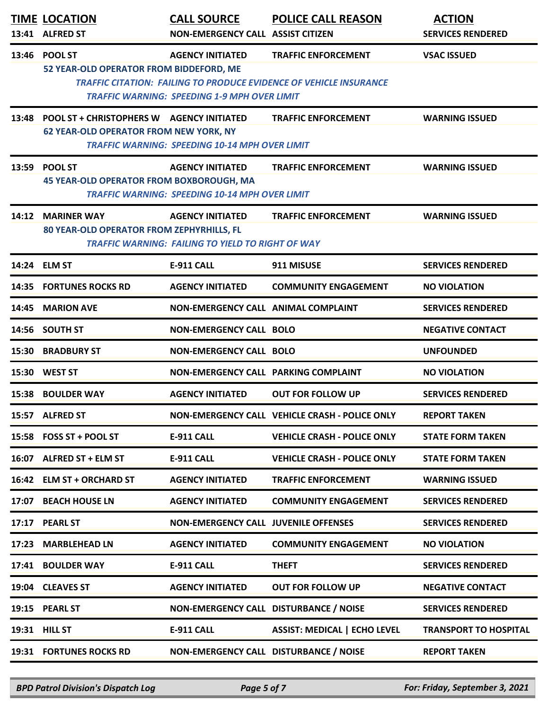|       | <b>TIME LOCATION</b><br>13:41 ALFRED ST                                                          | <b>CALL SOURCE</b><br>NON-EMERGENCY CALL ASSIST CITIZEN                             | <b>POLICE CALL REASON</b>                                                                               | <b>ACTION</b><br><b>SERVICES RENDERED</b> |
|-------|--------------------------------------------------------------------------------------------------|-------------------------------------------------------------------------------------|---------------------------------------------------------------------------------------------------------|-------------------------------------------|
|       | 13:46 POOL ST<br>52 YEAR-OLD OPERATOR FROM BIDDEFORD, ME                                         | <b>AGENCY INITIATED</b><br><b>TRAFFIC WARNING: SPEEDING 1-9 MPH OVER LIMIT</b>      | <b>TRAFFIC ENFORCEMENT</b><br><b>TRAFFIC CITATION: FAILING TO PRODUCE EVIDENCE OF VEHICLE INSURANCE</b> | <b>VSAC ISSUED</b>                        |
|       | 13:48 POOL ST + CHRISTOPHERS W AGENCY INITIATED<br><b>62 YEAR-OLD OPERATOR FROM NEW YORK, NY</b> | <b>TRAFFIC WARNING: SPEEDING 10-14 MPH OVER LIMIT</b>                               | <b>TRAFFIC ENFORCEMENT</b>                                                                              | <b>WARNING ISSUED</b>                     |
| 13:59 | <b>POOL ST</b><br>45 YEAR-OLD OPERATOR FROM BOXBOROUGH, MA                                       | <b>AGENCY INITIATED</b><br><b>TRAFFIC WARNING: SPEEDING 10-14 MPH OVER LIMIT</b>    | <b>TRAFFIC ENFORCEMENT</b>                                                                              | <b>WARNING ISSUED</b>                     |
| 14:12 | <b>MARINER WAY</b><br>80 YEAR-OLD OPERATOR FROM ZEPHYRHILLS, FL                                  | <b>AGENCY INITIATED</b><br><b>TRAFFIC WARNING: FAILING TO YIELD TO RIGHT OF WAY</b> | <b>TRAFFIC ENFORCEMENT</b>                                                                              | <b>WARNING ISSUED</b>                     |
|       | 14:24 ELM ST                                                                                     | <b>E-911 CALL</b>                                                                   | 911 MISUSE                                                                                              | <b>SERVICES RENDERED</b>                  |
| 14:35 | <b>FORTUNES ROCKS RD</b>                                                                         | <b>AGENCY INITIATED</b>                                                             | <b>COMMUNITY ENGAGEMENT</b>                                                                             | <b>NO VIOLATION</b>                       |
| 14:45 | <b>MARION AVE</b>                                                                                | NON-EMERGENCY CALL ANIMAL COMPLAINT                                                 |                                                                                                         | <b>SERVICES RENDERED</b>                  |
| 14:56 | <b>SOUTH ST</b>                                                                                  | <b>NON-EMERGENCY CALL BOLO</b>                                                      |                                                                                                         | <b>NEGATIVE CONTACT</b>                   |
| 15:30 | <b>BRADBURY ST</b>                                                                               | <b>NON-EMERGENCY CALL BOLO</b>                                                      |                                                                                                         | <b>UNFOUNDED</b>                          |
| 15:30 | <b>WEST ST</b>                                                                                   | NON-EMERGENCY CALL PARKING COMPLAINT                                                |                                                                                                         | <b>NO VIOLATION</b>                       |
| 15:38 | <b>BOULDER WAY</b>                                                                               | <b>AGENCY INITIATED</b>                                                             | <b>OUT FOR FOLLOW UP</b>                                                                                | <b>SERVICES RENDERED</b>                  |
|       | 15:57 ALFRED ST                                                                                  |                                                                                     | <b>NON-EMERGENCY CALL VEHICLE CRASH - POLICE ONLY</b>                                                   | <b>REPORT TAKEN</b>                       |
| 15:58 | <b>FOSS ST + POOL ST</b>                                                                         | <b>E-911 CALL</b>                                                                   | <b>VEHICLE CRASH - POLICE ONLY</b>                                                                      | <b>STATE FORM TAKEN</b>                   |
|       | 16:07 ALFRED ST + ELM ST                                                                         | E-911 CALL                                                                          | <b>VEHICLE CRASH - POLICE ONLY</b>                                                                      | <b>STATE FORM TAKEN</b>                   |
| 16:42 | <b>ELM ST + ORCHARD ST</b>                                                                       | <b>AGENCY INITIATED</b>                                                             | <b>TRAFFIC ENFORCEMENT</b>                                                                              | <b>WARNING ISSUED</b>                     |
| 17:07 | <b>BEACH HOUSE LN</b>                                                                            | <b>AGENCY INITIATED</b>                                                             | <b>COMMUNITY ENGAGEMENT</b>                                                                             | <b>SERVICES RENDERED</b>                  |
| 17:17 | <b>PEARL ST</b>                                                                                  | <b>NON-EMERGENCY CALL JUVENILE OFFENSES</b>                                         |                                                                                                         | <b>SERVICES RENDERED</b>                  |
| 17:23 | <b>MARBLEHEAD LN</b>                                                                             | <b>AGENCY INITIATED</b>                                                             | <b>COMMUNITY ENGAGEMENT</b>                                                                             | <b>NO VIOLATION</b>                       |
| 17:41 | <b>BOULDER WAY</b>                                                                               | <b>E-911 CALL</b>                                                                   | <b>THEFT</b>                                                                                            | <b>SERVICES RENDERED</b>                  |
| 19:04 | <b>CLEAVES ST</b>                                                                                | <b>AGENCY INITIATED</b>                                                             | <b>OUT FOR FOLLOW UP</b>                                                                                | <b>NEGATIVE CONTACT</b>                   |
|       | 19:15 PEARL ST                                                                                   | NON-EMERGENCY CALL DISTURBANCE / NOISE                                              |                                                                                                         | <b>SERVICES RENDERED</b>                  |
|       | 19:31 HILL ST                                                                                    | <b>E-911 CALL</b>                                                                   | <b>ASSIST: MEDICAL   ECHO LEVEL</b>                                                                     | <b>TRANSPORT TO HOSPITAL</b>              |
|       | 19:31 FORTUNES ROCKS RD                                                                          | NON-EMERGENCY CALL DISTURBANCE / NOISE                                              |                                                                                                         | <b>REPORT TAKEN</b>                       |